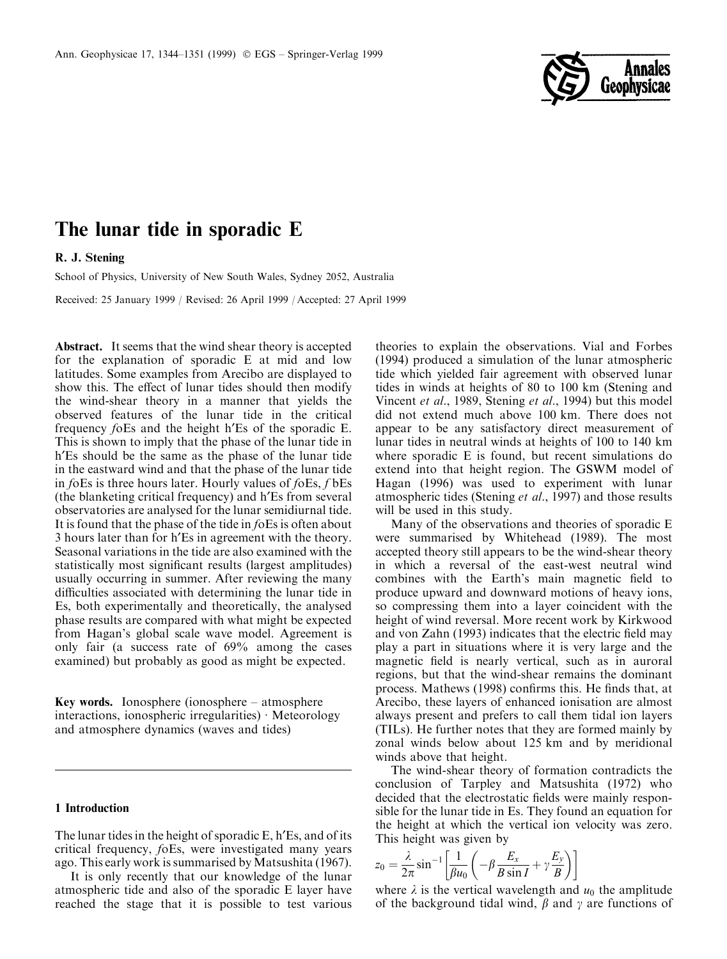

# The lunar tide in sporadic E

# R. J. Stening

School of Physics, University of New South Wales, Sydney 2052, Australia

Received: 25 January 1999 / Revised: 26 April 1999 / Accepted: 27 April 1999

Abstract. It seems that the wind shear theory is accepted for the explanation of sporadic E at mid and low latitudes. Some examples from Arecibo are displayed to show this. The effect of lunar tides should then modify the wind-shear theory in a manner that yields the observed features of the lunar tide in the critical frequency foEs and the height h'Es of the sporadic E. This is shown to imply that the phase of the lunar tide in h'Es should be the same as the phase of the lunar tide in the eastward wind and that the phase of the lunar tide in  $f$ oEs is three hours later. Hourly values of  $f$ oEs,  $f$  bEs (the blanketing critical frequency) and h¢Es from several observatories are analysed for the lunar semidiurnal tide. It is found that the phase of the tide in foEs is often about 3 hours later than for h'Es in agreement with the theory. Seasonal variations in the tide are also examined with the statistically most significant results (largest amplitudes) usually occurring in summer. After reviewing the many difficulties associated with determining the lunar tide in Es, both experimentally and theoretically, the analysed phase results are compared with what might be expected from Hagan's global scale wave model. Agreement is only fair (a success rate of 69% among the cases examined) but probably as good as might be expected.

Key words. Ionosphere (ionosphere  $-\arccos{p}$ interactions, ionospheric irregularities)  $\cdot$  Meteorology and atmosphere dynamics (waves and tides)

## 1 Introduction

The lunar tides in the height of sporadic  $E$ , h $E$ s, and of its critical frequency, foEs, were investigated many years ago. This early work is summarised by Matsushita (1967).

It is only recently that our knowledge of the lunar atmospheric tide and also of the sporadic E layer have reached the stage that it is possible to test various

theories to explain the observations. Vial and Forbes (1994) produced a simulation of the lunar atmospheric tide which yielded fair agreement with observed lunar tides in winds at heights of 80 to 100 km (Stening and Vincent et al., 1989, Stening et al., 1994) but this model did not extend much above 100 km. There does not appear to be any satisfactory direct measurement of lunar tides in neutral winds at heights of 100 to 140 km where sporadic E is found, but recent simulations do extend into that height region. The GSWM model of Hagan (1996) was used to experiment with lunar atmospheric tides (Stening et al., 1997) and those results will be used in this study.

Many of the observations and theories of sporadic E were summarised by Whitehead (1989). The most accepted theory still appears to be the wind-shear theory in which a reversal of the east-west neutral wind combines with the Earth's main magnetic field to produce upward and downward motions of heavy ions, so compressing them into a layer coincident with the height of wind reversal. More recent work by Kirkwood and von Zahn (1993) indicates that the electric field may play a part in situations where it is very large and the magnetic field is nearly vertical, such as in auroral regions, but that the wind-shear remains the dominant process. Mathews (1998) confirms this. He finds that, at Arecibo, these layers of enhanced ionisation are almost always present and prefers to call them tidal ion layers (TILs). He further notes that they are formed mainly by zonal winds below about 125 km and by meridional winds above that height.

The wind-shear theory of formation contradicts the conclusion of Tarpley and Matsushita (1972) who decided that the electrostatic fields were mainly responsible for the lunar tide in Es. They found an equation for the height at which the vertical ion velocity was zero. This height was given by

$$
z_0 = \frac{\lambda}{2\pi} \sin^{-1} \left[ \frac{1}{\beta u_0} \left( -\beta \frac{E_x}{B \sin I} + \gamma \frac{E_y}{B} \right) \right]
$$

where  $\lambda$  is the vertical wavelength and  $u_0$  the amplitude of the background tidal wind,  $\beta$  and  $\gamma$  are functions of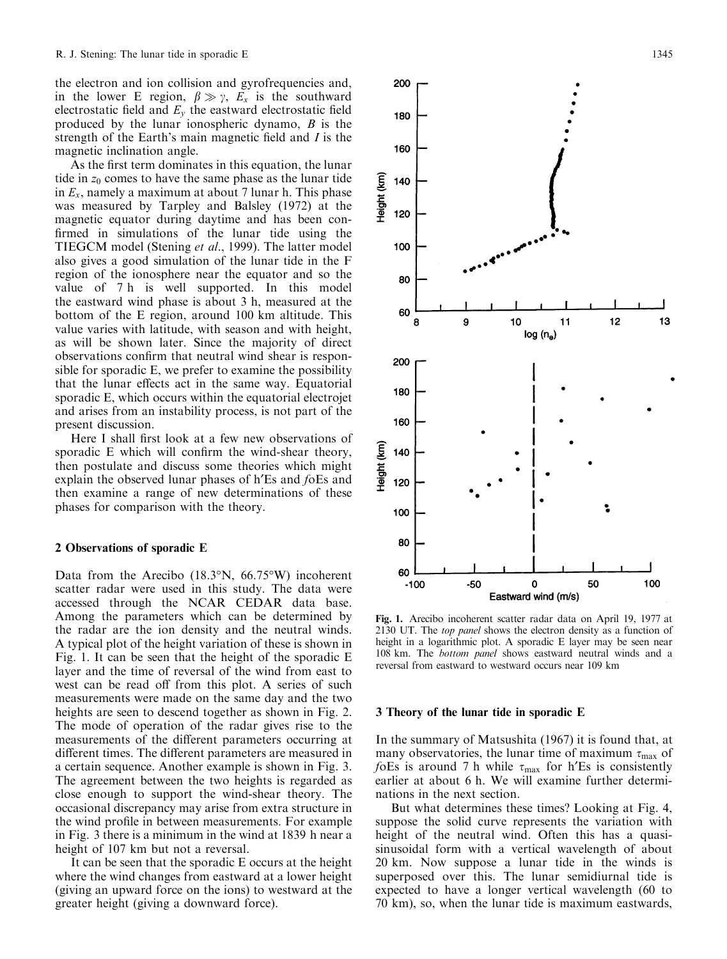the electron and ion collision and gyrofrequencies and, in the lower E region,  $\beta \gg \gamma$ ,  $E_x$  is the southward electrostatic field and  $E<sub>v</sub>$  the eastward electrostatic field produced by the lunar ionospheric dynamo,  $B$  is the strength of the Earth's main magnetic field and  $I$  is the magnetic inclination angle.

As the first term dominates in this equation, the lunar tide in  $z_0$  comes to have the same phase as the lunar tide in  $E_x$ , namely a maximum at about 7 lunar h. This phase was measured by Tarpley and Balsley (1972) at the magnetic equator during daytime and has been con firmed in simulations of the lunar tide using the TIEGCM model (Stening et al., 1999). The latter model also gives a good simulation of the lunar tide in the F region of the ionosphere near the equator and so the value of 7 h is well supported. In this model the eastward wind phase is about 3 h, measured at the bottom of the E region, around 100 km altitude. This value varies with latitude, with season and with height, as will be shown later. Since the majority of direct observations confirm that neutral wind shear is responsible for sporadic E, we prefer to examine the possibility that the lunar effects act in the same way. Equatorial sporadic E, which occurs within the equatorial electrojet and arises from an instability process, is not part of the present discussion.

Here I shall first look at a few new observations of sporadic E which will confirm the wind-shear theory, then postulate and discuss some theories which might explain the observed lunar phases of h'Es and foEs and then examine a range of new determinations of these phases for comparison with the theory.

#### 2 Observations of sporadic E

Data from the Arecibo (18.3°N, 66.75°W) incoherent scatter radar were used in this study. The data were accessed through the NCAR CEDAR data base. Among the parameters which can be determined by the radar are the ion density and the neutral winds. A typical plot of the height variation of these is shown in Fig. 1. It can be seen that the height of the sporadic E layer and the time of reversal of the wind from east to west can be read off from this plot. A series of such measurements were made on the same day and the two heights are seen to descend together as shown in Fig. 2. The mode of operation of the radar gives rise to the measurements of the different parameters occurring at different times. The different parameters are measured in a certain sequence. Another example is shown in Fig. 3. The agreement between the two heights is regarded as close enough to support the wind-shear theory. The occasional discrepancy may arise from extra structure in the wind profile in between measurements. For example in Fig. 3 there is a minimum in the wind at 1839 h near a height of 107 km but not a reversal.

It can be seen that the sporadic E occurs at the height where the wind changes from eastward at a lower height (giving an upward force on the ions) to westward at the greater height (giving a downward force).



#### 3 Theory of the lunar tide in sporadic E

In the summary of Matsushita (1967) it is found that, at many observatories, the lunar time of maximum  $\tau_{\text{max}}$  of foEs is around 7 h while  $\tau_{\text{max}}$  for h'Es is consistently earlier at about 6 h. We will examine further determinations in the next section.

But what determines these times? Looking at Fig. 4, suppose the solid curve represents the variation with height of the neutral wind. Often this has a quasisinusoidal form with a vertical wavelength of about 20 km. Now suppose a lunar tide in the winds is superposed over this. The lunar semidiurnal tide is expected to have a longer vertical wavelength (60 to 70 km), so, when the lunar tide is maximum eastwards,

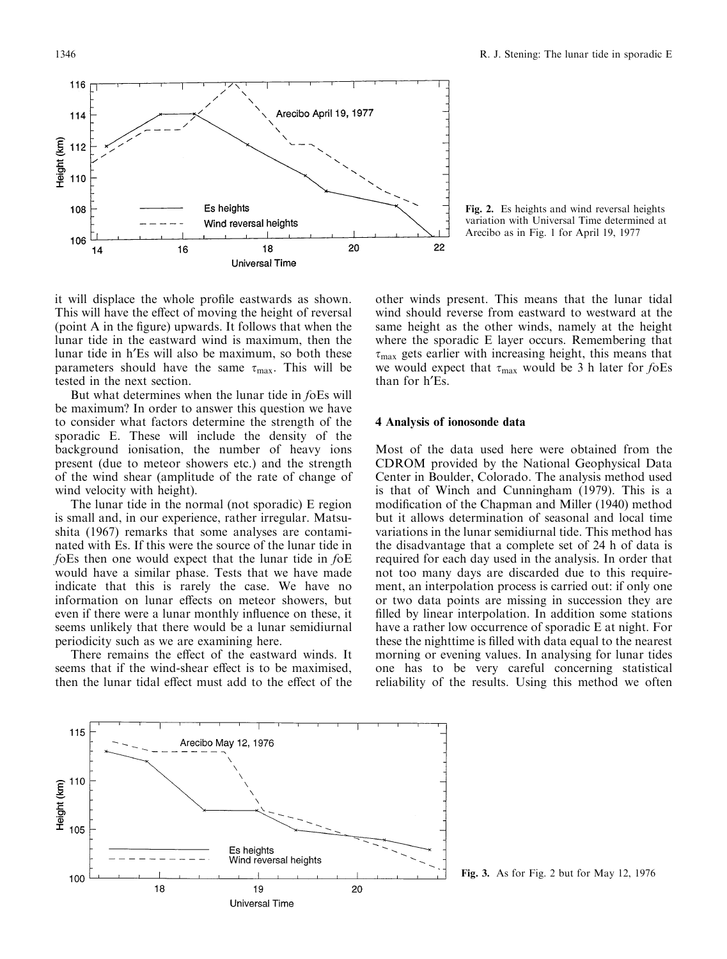



it will displace the whole profile eastwards as shown. This will have the effect of moving the height of reversal (point A in the figure) upwards. It follows that when the lunar tide in the eastward wind is maximum, then the lunar tide in h¢Es will also be maximum, so both these parameters should have the same  $\tau_{\text{max}}$ . This will be tested in the next section.

But what determines when the lunar tide in foEs will be maximum? In order to answer this question we have to consider what factors determine the strength of the sporadic E. These will include the density of the background ionisation, the number of heavy ions present (due to meteor showers etc.) and the strength of the wind shear (amplitude of the rate of change of wind velocity with height).

The lunar tide in the normal (not sporadic) E region is small and, in our experience, rather irregular. Matsushita (1967) remarks that some analyses are contaminated with Es. If this were the source of the lunar tide in foEs then one would expect that the lunar tide in foE would have a similar phase. Tests that we have made indicate that this is rarely the case. We have no information on lunar effects on meteor showers, but even if there were a lunar monthly influence on these, it seems unlikely that there would be a lunar semidiurnal periodicity such as we are examining here.

There remains the effect of the eastward winds. It seems that if the wind-shear effect is to be maximised. then the lunar tidal effect must add to the effect of the

other winds present. This means that the lunar tidal wind should reverse from eastward to westward at the same height as the other winds, namely at the height where the sporadic E layer occurs. Remembering that  $\tau_{\text{max}}$  gets earlier with increasing height, this means that we would expect that  $\tau_{\text{max}}$  would be 3 h later for foEs than for h'Es.

# 4 Analysis of ionosonde data

Most of the data used here were obtained from the CDROM provided by the National Geophysical Data Center in Boulder, Colorado. The analysis method used is that of Winch and Cunningham (1979). This is a modification of the Chapman and Miller (1940) method but it allows determination of seasonal and local time variations in the lunar semidiurnal tide. This method has the disadvantage that a complete set of 24 h of data is required for each day used in the analysis. In order that not too many days are discarded due to this requirement, an interpolation process is carried out: if only one or two data points are missing in succession they are filled by linear interpolation. In addition some stations have a rather low occurrence of sporadic E at night. For these the nighttime is filled with data equal to the nearest morning or evening values. In analysing for lunar tides one has to be very careful concerning statistical reliability of the results. Using this method we often



Fig. 3. As for Fig. 2 but for May 12, 1976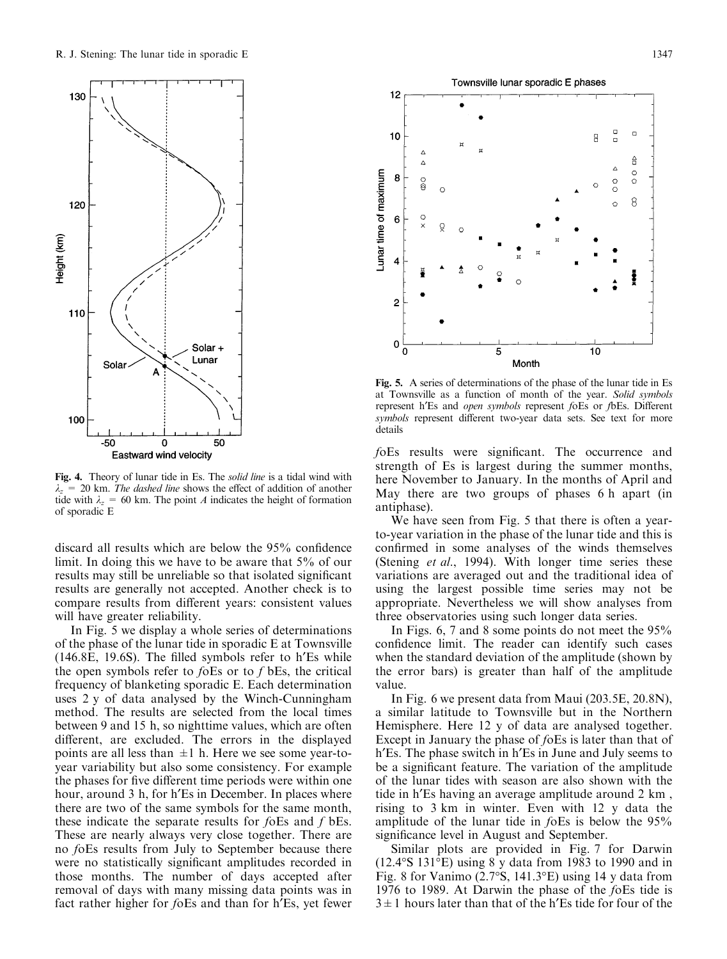

Fig. 4. Theory of lunar tide in Es. The solid line is a tidal wind with  $\lambda_z$  = 20 km. The dashed line shows the effect of addition of another tide with  $\lambda_z = 60$  km. The point A indicates the height of formation of sporadic E

discard all results which are below the  $95%$  confidence limit. In doing this we have to be aware that 5% of our results may still be unreliable so that isolated significant results are generally not accepted. Another check is to compare results from different years: consistent values will have greater reliability.

In Fig. 5 we display a whole series of determinations of the phase of the lunar tide in sporadic E at Townsville  $(146.8E, 19.6S)$ . The filled symbols refer to h'Es while the open symbols refer to  $f$ oEs or to  $f$  bEs, the critical frequency of blanketing sporadic E. Each determination uses 2 y of data analysed by the Winch-Cunningham method. The results are selected from the local times between 9 and 15 h, so nighttime values, which are often different, are excluded. The errors in the displayed points are all less than  $\pm 1$  h. Here we see some year-toyear variability but also some consistency. For example the phases for five different time periods were within one hour, around 3 h, for h'Es in December. In places where there are two of the same symbols for the same month, these indicate the separate results for foEs and f bEs. These are nearly always very close together. There are no foEs results from July to September because there were no statistically significant amplitudes recorded in those months. The number of days accepted after removal of days with many missing data points was in fact rather higher for foEs and than for h'Es, yet fewer



Fig. 5. A series of determinations of the phase of the lunar tide in Es at Townsville as a function of month of the year. Solid symbols represent h'Es and *open symbols* represent foEs or fbEs. Different symbols represent different two-year data sets. See text for more details

foEs results were significant. The occurrence and strength of Es is largest during the summer months, here November to January. In the months of April and May there are two groups of phases 6 h apart (in antiphase).

We have seen from Fig. 5 that there is often a yearto-year variation in the phase of the lunar tide and this is confirmed in some analyses of the winds themselves (Stening et al., 1994). With longer time series these variations are averaged out and the traditional idea of using the largest possible time series may not be appropriate. Nevertheless we will show analyses from three observatories using such longer data series.

In Figs. 6, 7 and 8 some points do not meet the 95% confidence limit. The reader can identify such cases when the standard deviation of the amplitude (shown by the error bars) is greater than half of the amplitude value.

In Fig. 6 we present data from Maui (203.5E, 20.8N), a similar latitude to Townsville but in the Northern Hemisphere. Here 12 y of data are analysed together. Except in January the phase of foEs is later than that of h'Es. The phase switch in h'Es in June and July seems to be a significant feature. The variation of the amplitude of the lunar tides with season are also shown with the tide in h'Es having an average amplitude around 2 km, rising to 3 km in winter. Even with 12 y data the amplitude of the lunar tide in foEs is below the 95% significance level in August and September.

Similar plots are provided in Fig. 7 for Darwin (12.4°S 131°E) using 8 y data from 1983 to 1990 and in Fig. 8 for Vanimo (2.7°S, 141.3°E) using 14 y data from 1976 to 1989. At Darwin the phase of the foEs tide is  $3\pm1$  hours later than that of the h'Es tide for four of the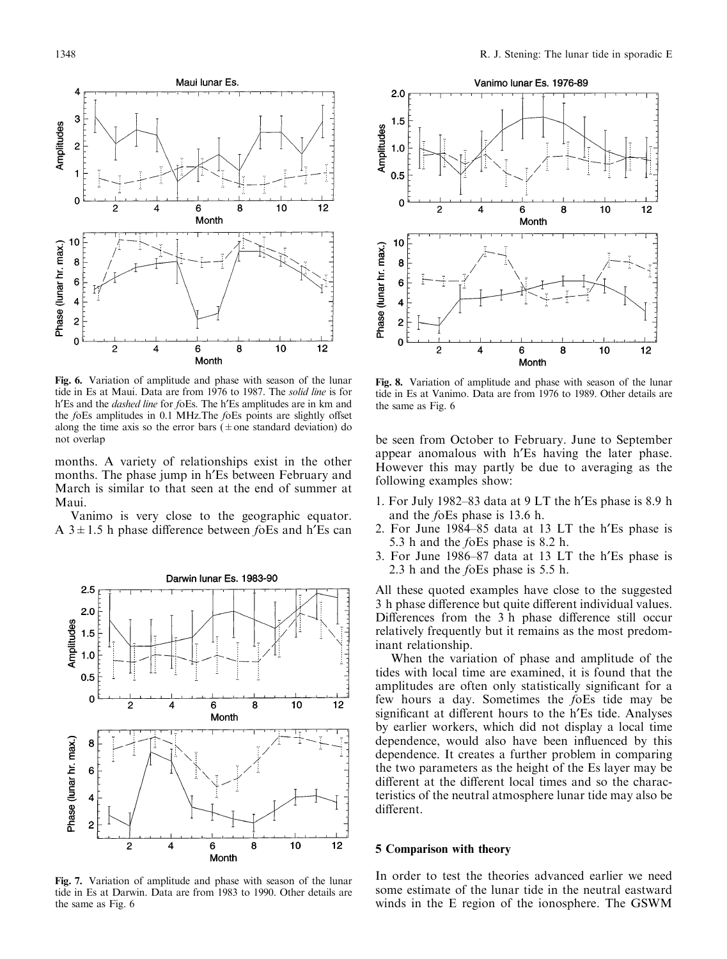

Fig. 6. Variation of amplitude and phase with season of the lunar tide in Es at Maui. Data are from 1976 to 1987. The solid line is for h'Es and the *dashed line* for foEs. The h'Es amplitudes are in km and the  $f$ oEs amplitudes in  $0.1$  MHz. The  $f$ oEs points are slightly offset along the time axis so the error bars ( $\pm$  one standard deviation) do not overlap

months. A variety of relationships exist in the other months. The phase jump in h'Es between February and March is similar to that seen at the end of summer at Maui.

Vanimo is very close to the geographic equator. A  $3 \pm 1.5$  h phase difference between foEs and h'Es can



Fig. 7. Variation of amplitude and phase with season of the lunar tide in Es at Darwin. Data are from 1983 to 1990. Other details are the same as Fig. 6



Fig. 8. Variation of amplitude and phase with season of the lunar tide in Es at Vanimo. Data are from 1976 to 1989. Other details are the same as Fig. 6

be seen from October to February. June to September appear anomalous with h<sup>'</sup>Es having the later phase. However this may partly be due to averaging as the following examples show:

- 1. For July 1982 $-83$  data at 9 LT the h'Es phase is 8.9 h and the foEs phase is 13.6 h.
- 2. For June 1984-85 data at 13 LT the h'Es phase is 5.3 h and the foEs phase is 8.2 h.
- 3. For June  $1986-87$  data at 13 LT the h'Es phase is 2.3 h and the foEs phase is 5.5 h.

All these quoted examples have close to the suggested 3 h phase difference but quite different individual values. Differences from the 3 h phase difference still occur relatively frequently but it remains as the most predominant relationship.

When the variation of phase and amplitude of the tides with local time are examined, it is found that the amplitudes are often only statistically significant for a few hours a day. Sometimes the foEs tide may be significant at different hours to the h'Es tide. Analyses by earlier workers, which did not display a local time dependence, would also have been influenced by this dependence. It creates a further problem in comparing the two parameters as the height of the Es layer may be different at the different local times and so the characteristics of the neutral atmosphere lunar tide may also be different.

#### 5 Comparison with theory

In order to test the theories advanced earlier we need some estimate of the lunar tide in the neutral eastward winds in the E region of the ionosphere. The GSWM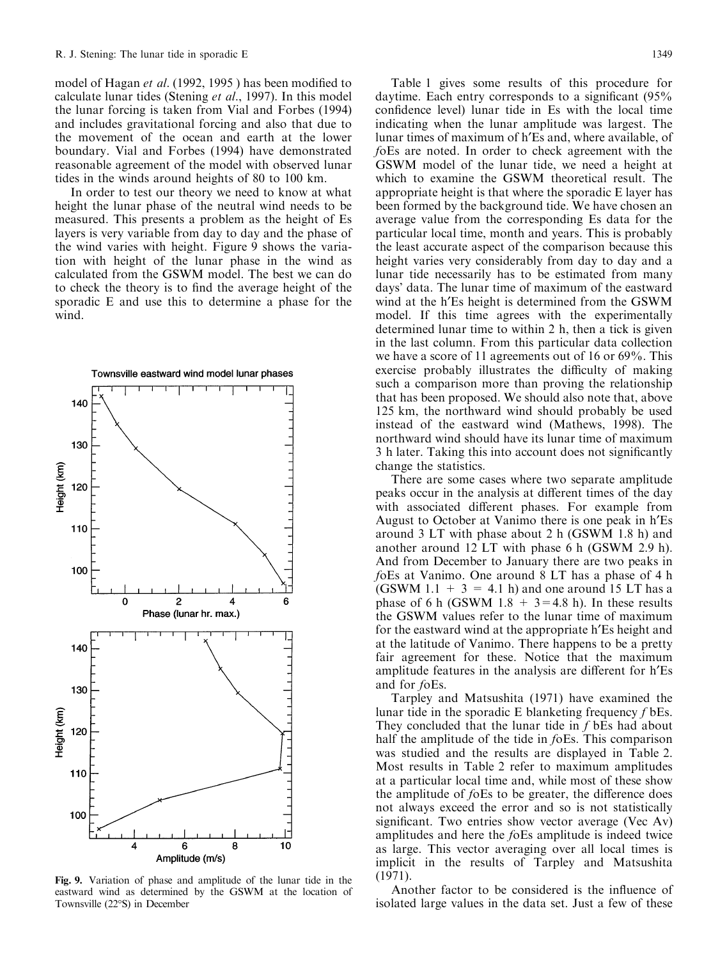model of Hagan *et al.* (1992, 1995) has been modified to calculate lunar tides (Stening et al., 1997). In this model the lunar forcing is taken from Vial and Forbes (1994) and includes gravitational forcing and also that due to the movement of the ocean and earth at the lower boundary. Vial and Forbes (1994) have demonstrated reasonable agreement of the model with observed lunar tides in the winds around heights of 80 to 100 km.

In order to test our theory we need to know at what height the lunar phase of the neutral wind needs to be measured. This presents a problem as the height of Es layers is very variable from day to day and the phase of the wind varies with height. Figure 9 shows the variation with height of the lunar phase in the wind as calculated from the GSWM model. The best we can do to check the theory is to find the average height of the sporadic E and use this to determine a phase for the wind.



Fig. 9. Variation of phase and amplitude of the lunar tide in the eastward wind as determined by the GSWM at the location of Townsville (22°S) in December

Table 1 gives some results of this procedure for daytime. Each entry corresponds to a significant  $(95\%$ confidence level) lunar tide in Es with the local time indicating when the lunar amplitude was largest. The lunar times of maximum of h'Es and, where available, of foEs are noted. In order to check agreement with the GSWM model of the lunar tide, we need a height at which to examine the GSWM theoretical result. The appropriate height is that where the sporadic E layer has been formed by the background tide. We have chosen an average value from the corresponding Es data for the particular local time, month and years. This is probably the least accurate aspect of the comparison because this height varies very considerably from day to day and a lunar tide necessarily has to be estimated from many days' data. The lunar time of maximum of the eastward wind at the h'Es height is determined from the GSWM model. If this time agrees with the experimentally determined lunar time to within 2 h, then a tick is given in the last column. From this particular data collection we have a score of 11 agreements out of 16 or 69%. This exercise probably illustrates the difficulty of making such a comparison more than proving the relationship that has been proposed. We should also note that, above 125 km, the northward wind should probably be used instead of the eastward wind (Mathews, 1998). The northward wind should have its lunar time of maximum 3 h later. Taking this into account does not significantly change the statistics.

There are some cases where two separate amplitude peaks occur in the analysis at different times of the day with associated different phases. For example from August to October at Vanimo there is one peak in h'Es around 3 LT with phase about 2 h (GSWM 1.8 h) and another around 12 LT with phase 6 h (GSWM 2.9 h). And from December to January there are two peaks in foEs at Vanimo. One around 8 LT has a phase of 4 h (GSWM 1.1 + 3 = 4.1 h) and one around 15 LT has a phase of 6 h (GSWM  $1.8 + 3 = 4.8$  h). In these results the GSWM values refer to the lunar time of maximum for the eastward wind at the appropriate h'Es height and at the latitude of Vanimo. There happens to be a pretty fair agreement for these. Notice that the maximum amplitude features in the analysis are different for h'Es and for foEs.

Tarpley and Matsushita (1971) have examined the lunar tide in the sporadic E blanketing frequency f bEs. They concluded that the lunar tide in f bEs had about half the amplitude of the tide in foEs. This comparison was studied and the results are displayed in Table 2. Most results in Table 2 refer to maximum amplitudes at a particular local time and, while most of these show the amplitude of  $f$ oEs to be greater, the difference does not always exceed the error and so is not statistically significant. Two entries show vector average (Vec Av) amplitudes and here the foEs amplitude is indeed twice as large. This vector averaging over all local times is implicit in the results of Tarpley and Matsushita (1971).

Another factor to be considered is the influence of isolated large values in the data set. Just a few of these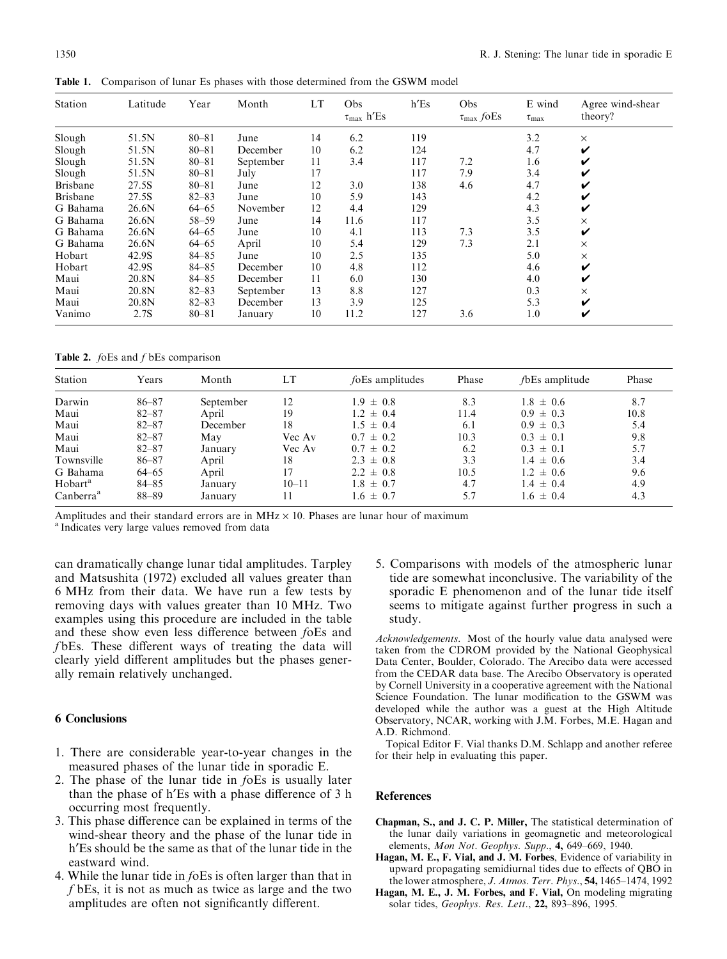Table 1. Comparison of lunar Es phases with those determined from the GSWM model

| Station         | Latitude | Year      | Month     | LT | Obs<br>$\tau_{\rm max}$ h<br><br>'Es | $h$ <sup><math>ES</math></sup> | Obs<br>$\tau_{\rm max}$ fo<br>Es | E wind<br>$\tau_{\text{max}}$ | Agree wind-shear<br>theory? |
|-----------------|----------|-----------|-----------|----|--------------------------------------|--------------------------------|----------------------------------|-------------------------------|-----------------------------|
| Slough          | 51.5N    | $80 - 81$ | June      | 14 | 6.2                                  | 119                            |                                  | 3.2                           | $\times$                    |
| Slough          | 51.5N    | $80 - 81$ | December  | 10 | 6.2                                  | 124                            |                                  | 4.7                           | V                           |
| Slough          | 51.5N    | $80 - 81$ | September | 11 | 3.4                                  | 117                            | 7.2                              | 1.6                           | V                           |
| Slough          | 51.5N    | $80 - 81$ | July      | 17 |                                      | 117                            | 7.9                              | 3.4                           | V                           |
| <b>Brisbane</b> | 27.5S    | $80 - 81$ | June      | 12 | 3.0                                  | 138                            | 4.6                              | 4.7                           | V                           |
| <b>Brisbane</b> | 27.5S    | $82 - 83$ | June      | 10 | 5.9                                  | 143                            |                                  | 4.2                           | V                           |
| G Bahama        | 26.6N    | $64 - 65$ | November  | 12 | 4.4                                  | 129                            |                                  | 4.3                           | V                           |
| G Bahama        | 26.6N    | $58 - 59$ | June      | 14 | 11.6                                 | 117                            |                                  | 3.5                           | $\times$                    |
| G Bahama        | 26.6N    | $64 - 65$ | June      | 10 | 4.1                                  | 113                            | 7.3                              | 3.5                           | V                           |
| G Bahama        | 26.6N    | $64 - 65$ | April     | 10 | 5.4                                  | 129                            | 7.3                              | 2.1                           | X                           |
| Hobart          | 42.9S    | $84 - 85$ | June      | 10 | 2.5                                  | 135                            |                                  | 5.0                           | $\times$                    |
| Hobart          | 42.9S    | $84 - 85$ | December  | 10 | 4.8                                  | 112                            |                                  | 4.6                           | V                           |
| Maui            | 20.8N    | $84 - 85$ | December  | 11 | 6.0                                  | 130                            |                                  | 4.0                           | V                           |
| Maui            | 20.8N    | $82 - 83$ | September | 13 | 8.8                                  | 127                            |                                  | 0.3                           | $\times$                    |
| Maui            | 20.8N    | $82 - 83$ | December  | 13 | 3.9                                  | 125                            |                                  | 5.3                           | V                           |
| Vanimo          | 2.7S     | $80 - 81$ | January   | 10 | 11.2                                 | 127                            | 3.6                              | 1.0                           | V                           |

Table 2.  $f$ oEs and  $f$  bEs comparison

| Station               | Years     | Month     | LT        | foEs amplitudes | Phase | <i>f</i> bEs amplitude | Phase |
|-----------------------|-----------|-----------|-----------|-----------------|-------|------------------------|-------|
| Darwin                | $86 - 87$ | September | 12        | $1.9 \pm 0.8$   | 8.3   | $1.8 \pm 0.6$          | 8.7   |
| Maui                  | $82 - 87$ | April     | 19        | $1.2 \pm 0.4$   | 11.4  | $0.9 \pm 0.3$          | 10.8  |
| Maui                  | $82 - 87$ | December  | 18        | $1.5 \pm 0.4$   | 6.1   | $0.9 \pm 0.3$          | 5.4   |
| Maui                  | $82 - 87$ | May       | Vec Av    | $0.7 \pm 0.2$   | 10.3  | $0.3 \pm 0.1$          | 9.8   |
| Maui                  | $82 - 87$ | January   | Vec Av    | $0.7 \pm 0.2$   | 6.2   | $0.3 \pm 0.1$          | 5.7   |
| Townsville            | $86 - 87$ | April     | 18        | $2.3 \pm 0.8$   | 3.3   | $1.4 \pm 0.6$          | 3.4   |
| G Bahama              | $64 - 65$ | April     | 17        | $2.2 \pm 0.8$   | 10.5  | $1.2 \pm 0.6$          | 9.6   |
| Hobart <sup>a</sup>   | $84 - 85$ | January   | $10 - 11$ | $1.8 \pm 0.7$   | 4.7   | $1.4 \pm 0.4$          | 4.9   |
| Canberra <sup>a</sup> | 88-89     | January   | 11        | $1.6 \pm 0.7$   | 5.7   | $1.6 \pm 0.4$          | 4.3   |

Amplitudes and their standard errors are in MHz  $\times$  10. Phases are lunar hour of maximum <sup>a</sup> Indicates very large values removed from data

can dramatically change lunar tidal amplitudes. Tarpley and Matsushita (1972) excluded all values greater than 6 MHz from their data. We have run a few tests by removing days with values greater than 10 MHz. Two examples using this procedure are included in the table and these show even less difference between foEs and  $f$ bEs. These different ways of treating the data will clearly yield different amplitudes but the phases generally remain relatively unchanged.

### 6 Conclusions

- 1. There are considerable year-to-year changes in the measured phases of the lunar tide in sporadic E.
- 2. The phase of the lunar tide in foEs is usually later than the phase of h'Es with a phase difference of 3 h occurring most frequently.
- 3. This phase difference can be explained in terms of the wind-shear theory and the phase of the lunar tide in h'Es should be the same as that of the lunar tide in the eastward wind.
- 4. While the lunar tide in foEs is often larger than that in f bEs, it is not as much as twice as large and the two amplitudes are often not significantly different.

5. Comparisons with models of the atmospheric lunar tide are somewhat inconclusive. The variability of the sporadic E phenomenon and of the lunar tide itself seems to mitigate against further progress in such a study.

Acknowledgements. Most of the hourly value data analysed were taken from the CDROM provided by the National Geophysical Data Center, Boulder, Colorado. The Arecibo data were accessed from the CEDAR data base. The Arecibo Observatory is operated by Cornell University in a cooperative agreement with the National Science Foundation. The lunar modification to the GSWM was developed while the author was a guest at the High Altitude Observatory, NCAR, working with J.M. Forbes, M.E. Hagan and A.D. Richmond.

Topical Editor F. Vial thanks D.M. Schlapp and another referee for their help in evaluating this paper.

## References

- Chapman, S., and J. C. P. Miller, The statistical determination of the lunar daily variations in geomagnetic and meteorological elements, Mon Not. Geophys. Supp., 4, 649-669, 1940.
- Hagan, M. E., F. Vial, and J. M. Forbes, Evidence of variability in upward propagating semidiurnal tides due to effects of QBO in the lower atmosphere, J. Atmos. Terr. Phys., 54, 1465-1474, 1992
- Hagan, M. E., J. M. Forbes, and F. Vial, On modeling migrating solar tides, Geophys. Res. Lett., 22, 893-896, 1995.